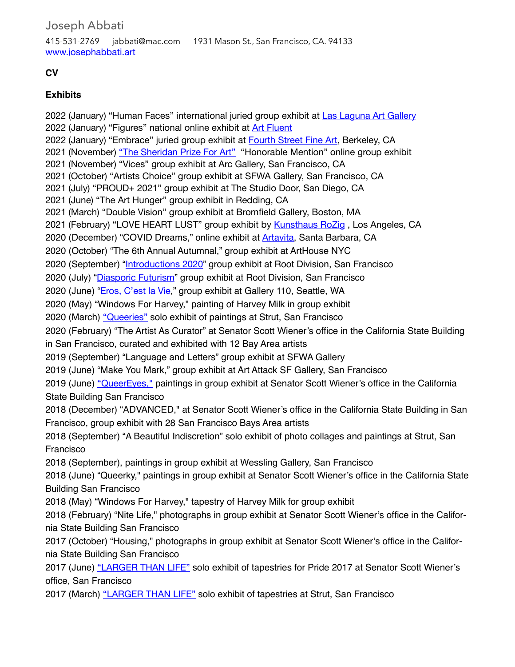Joseph Abbati 415-531-2769 jabbati@mac.com 1931 Mason St., San Francisco, CA. 94133 [www.josephabbati.art](http://www.josephabbati.art)

### **CV**

### **Exhibits**

2022 (January) "Human Faces" international juried group exhibit at [Las Laguna Art Gallery](https://www.laslagunaartgallery.com/2022-faces) 2022 (January) "Figures" national online exhibit at **[Art Fluent](https://www.art-fluent.com/figures)** 2022 (January) "Embrace" juried group exhibit at [Fourth Street Fine Art](https://www.4thstreetfineartshop.com/shop/embrace/75), Berkeley, CA 2021 (November) ["The Sheridan Prize For Art"](https://www.sheridanprizeforart.com/sheridan-2021/?contest-category-order=6) "Honorable Mention" online group exhibit 2021 (November) "Vices" group exhibit at Arc Gallery, San Francisco, CA 2021 (October) "Artists Choice" group exhibit at SFWA Gallery, San Francisco, CA 2021 (July) "PROUD+ 2021" group exhibit at The Studio Door, San Diego, CA 2021 (June) "The Art Hunger" group exhibit in Redding, CA 2021 (March) "Double Vision" group exhibit at Bromfield Gallery, Boston, MA 2021 (February) "LOVE HEART LUST" group exhibit by **[Kunsthaus RoZig](https://www.facebook.com/KunsthausRoZig/)**, Los Angeles, CA 2020 (December) "COVID Dreams," online exhibit at [Artavita](https://www.artavita.com/contests/55/browse), Santa Barbara, CA 2020 (October) "The 6th Annual Autumnal," group exhibit at ArtHouse NYC 2020 (September) "[Introductions 2020](https://issuu.com/rootdivision/docs/intro2020_catalogue/16)" group exhibit at Root Division, San Francisco 2020 (July) "[Diasporic Futurism](https://rootdivision.org/exhibition-rd-gallery/diasporic-futurism)" group exhibit at Root Division, San Francisco 2020 (June) "[Eros, C'est la Vie](https://www.gallery110.com/eros/)," group exhibit at Gallery 110, Seattle, WA 2020 (May) "Windows For Harvey," painting of Harvey Milk in group exhibit 2020 (March) ["Queeries"](https://youtu.be/TFSEGmrDE8M) solo exhibit of paintings at Strut, San Francisco 2020 (February) "The Artist As Curator" at Senator Scott Wiener's office in the California State Building in San Francisco, curated and exhibited with 12 Bay Area artists 2019 (September) "Language and Letters" group exhibit at SFWA Gallery 2019 (June) "Make You Mark," group exhibit at Art Attack SF Gallery, San Francisco 2019 (June) ["QueerEyes,"](https://youtu.be/qMWTy3F1Z7s) paintings in group exhibit at Senator Scott Wiener's office in the California State Building San Francisco 2018 (December) "ADVANCED," at Senator Scott Wiener's office in the California State Building in San Francisco, group exhibit with 28 San Francisco Bays Area artists 2018 (September) "A Beautiful Indiscretion" solo exhibit of photo collages and paintings at Strut, San Francisco 2018 (September), paintings in group exhibit at Wessling Gallery, San Francisco 2018 (June) "Queerky," paintings in group exhibit at Senator Scott Wiener's office in the California State Building San Francisco 2018 (May) "Windows For Harvey," tapestry of Harvey Milk for group exhibit 2018 (February) "Nite Life," photographs in group exhibit at Senator Scott Wiener's office in the California State Building San Francisco 2017 (October) "Housing," photographs in group exhibit at Senator Scott Wiener's office in the California State Building San Francisco 2017 (June) ["LARGER THAN LIFE"](https://youtu.be/gNiFq4G3D2A) solo exhibit of tapestries for Pride 2017 at Senator Scott Wiener's office, San Francisco 2017 (March) ["LARGER THAN LIFE"](https://youtu.be/gNiFq4G3D2A) solo exhibit of tapestries at Strut, San Francisco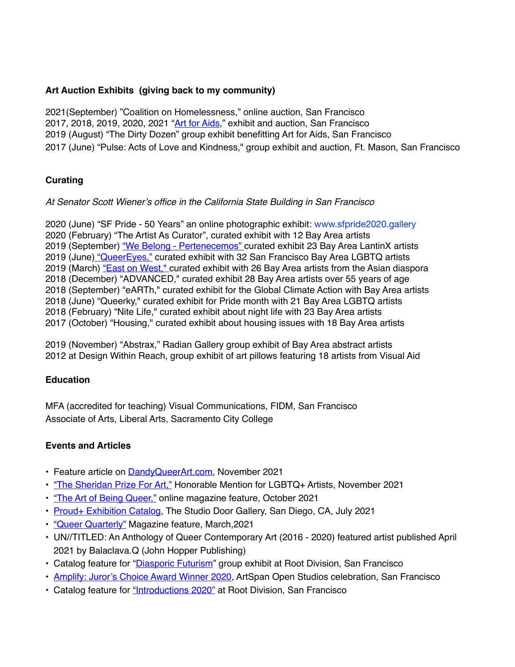### **Art Auction Exhibits (giving back to my community)**

2021(September) "Coalition on Homelessness," online auction, San Francisco 2017, 2018, 2019, 2020, 2021 "[Art for Aids](https://alliancehealthproject.ucsf.edu/artists)," exhibit and auction, San Francisco 2019 (August) "The Dirty Dozen" group exhibit benefitting Art for Aids, San Francisco 2017 (June) "Pulse: Acts of Love and Kindness," group exhibit and auction, Ft. Mason, San Francisco

# **Curating**

### *At Senator Scott Wiener's office in the California State Building in San Francisco*

2020 (June) "SF Pride - 50 Years" an online photographic exhibit: www.sfpride2020.gallery 2020 (February) "The Artist As Curator", curated exhibit with 12 Bay Area artists 2019 (September) ["We Belong - Pertenecemos"](https://youtu.be/mDvM5lmt0Hg) curated exhibit 23 Bay Area LantinX artists 2019 (June) ["QueerEyes,"](https://youtu.be/qMWTy3F1Z7s) curated exhibit with 32 San Francisco Bay Area LGBTQ artists 2019 (March) ["East on West,"](https://youtu.be/Jf64VuhT0ms) curated exhibit with 26 Bay Area artists from the Asian diaspora 2018 (December) "ADVANCED," curated exhibit 28 Bay Area artists over 55 years of age 2018 (September) "eARTh," curated exhibit for the Global Climate Action with Bay Area artists 2018 (June) "Queerky," curated exhibit for Pride month with 21 Bay Area LGBTQ artists 2018 (February) "Nite Life," curated exhibit about night life with 23 Bay Area artists 2017 (October) "Housing," curated exhibit about housing issues with 18 Bay Area artists

2019 (November) "Abstrax," Radian Gallery group exhibit of Bay Area abstract artists 2012 at Design Within Reach, group exhibit of art pillows featuring 18 artists from Visual Aid

### **Education**

MFA (accredited for teaching) Visual Communications, FIDM, San Francisco Associate of Arts, Liberal Arts, Sacramento City College

# **Events and Articles**

- Feature article on [DandyQueerArt.com,](https://www.dandyqueerart.com/magazine/new-collection-piece-joseph-abbati?fbclid=IwAR3B1slxHv84bV3oqkKpTKpunGdo9YodSMsHqqxKWHoLbGVqRKcrI1p8yas) November 2021
- ["The Sheridan Prize For Art,"](https://www.sheridanprizeforart.com/sheridan-2021/?contest-category-order=6) Honorable Mention for LGBTQ+ Artists, November 2021
- ["The Art of Being Queer,"](https://www.theartofbeingqueer.com/post/joseph-abbati-the-art-of-being-queer-1) online magazine feature, October 2021
- [Proud+ Exhibition Catalog](https://issuu.com/thestudiodoor/docs/proud_2021_issuu), The Studio Door Gallery, San Diego, CA, July 2021
- ["Queer Quarterly"](https://queerquarterly.com) Magazine feature, March,2021
- UN//TITLED: An Anthology of Queer Contemporary Art (2016 2020) featured artist published April 2021 by Balaclava.Q (John Hopper Publishing)
- Catalog feature for "[Diasporic Futurism](https://rootdivision.org/exhibition-rd-gallery/diasporic-futurism)" group exhibit at Root Division, San Francisco
- [Amplify: Juror's Choice Award Winner 2020](https://www.artspan.org/amplify-awards), ArtSpan Open Studios celebration, San Francisco
- Catalog feature for ["Introductions 2020"](https://issuu.com/rootdivision/docs/intro2020_catalogue/16) at Root Division, San Francisco